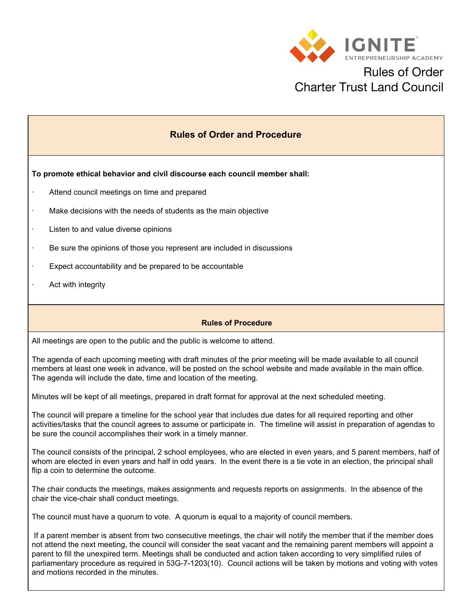

## Rules of Order Charter Trust Land Council

### **Rules of Order and Procedure**

**To promote ethical behavior and civil discourse each council member shall:**

- Attend council meetings on time and prepared
- Make decisions with the needs of students as the main objective
- Listen to and value diverse opinions
- · Be sure the opinions of those you represent are included in discussions
- · Expect accountability and be prepared to be accountable
- Act with integrity

#### **Rules of Procedure**

All meetings are open to the public and the public is welcome to attend.

The agenda of each upcoming meeting with draft minutes of the prior meeting will be made available to all council members at least one week in advance, will be posted on the school website and made available in the main office. The agenda will include the date, time and location of the meeting.

Minutes will be kept of all meetings, prepared in draft format for approval at the next scheduled meeting.

The council will prepare a timeline for the school year that includes due dates for all required reporting and other activities/tasks that the council agrees to assume or participate in. The timeline will assist in preparation of agendas to be sure the council accomplishes their work in a timely manner.

The council consists of the principal, 2 school employees, who are elected in even years, and 5 parent members, half of whom are elected in even years and half in odd years. In the event there is a tie vote in an election, the principal shall flip a coin to determine the outcome.

The chair conducts the meetings, makes assignments and requests reports on assignments. In the absence of the chair the vice-chair shall conduct meetings.

The council must have a quorum to vote. A quorum is equal to a majority of council members.

If a parent member is absent from two consecutive meetings, the chair will notify the member that if the member does not attend the next meeting, the council will consider the seat vacant and the remaining parent members will appoint a parent to fill the unexpired term. Meetings shall be conducted and action taken according to very simplified rules of parliamentary procedure as required in 53G-7-1203(10). Council actions will be taken by motions and voting with votes and motions recorded in the minutes.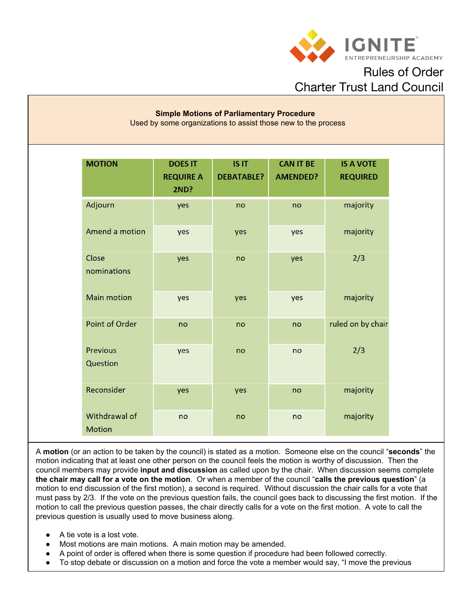

Rules of Order Charter Trust Land Council

#### **Simple Motions of Parliamentary Procedure** Used by some organizations to assist those new to the process

| <b>MOTION</b>                  | <b>DOES IT</b><br><b>REQUIRE A</b><br><b>2ND?</b> | IS IT<br><b>DEBATABLE?</b> | <b>CAN IT BE</b><br><b>AMENDED?</b> | <b>IS A VOTE</b><br><b>REQUIRED</b> |
|--------------------------------|---------------------------------------------------|----------------------------|-------------------------------------|-------------------------------------|
| Adjourn                        | yes                                               | no                         | no                                  | majority                            |
| Amend a motion                 | yes                                               | yes                        | yes                                 | majority                            |
| Close<br>nominations           | yes                                               | no                         | yes                                 | 2/3                                 |
| <b>Main motion</b>             | yes                                               | yes                        | yes                                 | majority                            |
| <b>Point of Order</b>          | no                                                | no                         | no                                  | ruled on by chair                   |
| <b>Previous</b><br>Question    | yes                                               | no                         | no                                  | 2/3                                 |
| Reconsider                     | yes                                               | yes                        | no                                  | majority                            |
| Withdrawal of<br><b>Motion</b> | no                                                | no                         | no                                  | majority                            |

A **motion** (or an action to be taken by the council) is stated as a motion. Someone else on the council "**seconds**" the motion indicating that at least one other person on the council feels the motion is worthy of discussion. Then the council members may provide **input and discussion** as called upon by the chair. When discussion seems complete **the chair may call for a vote on the motion**. Or when a member of the council "**calls the previous question**" (a motion to end discussion of the first motion), a second is required. Without discussion the chair calls for a vote that must pass by 2/3. If the vote on the previous question fails, the council goes back to discussing the first motion. If the motion to call the previous question passes, the chair directly calls for a vote on the first motion. A vote to call the previous question is usually used to move business along.

- A tie vote is a lost vote.
- Most motions are main motions. A main motion may be amended.
- A point of order is offered when there is some question if procedure had been followed correctly.
- To stop debate or discussion on a motion and force the vote a member would say, "I move the previous